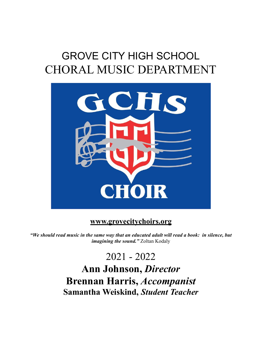# GROVE CITY HIGH SCHOOL CHORAL MUSIC DEPARTMENT



### **www.grovecitychoirs.org**

*"We should read music in the same way that an educated adult will read a book: in silence, but imagining the sound.*" Zoltan Kodaly

2021 - 2022

**Ann Johnson,** *Director* **Brennan Harris,** *Accompanist* **Samantha Weiskind,** *Student Teacher*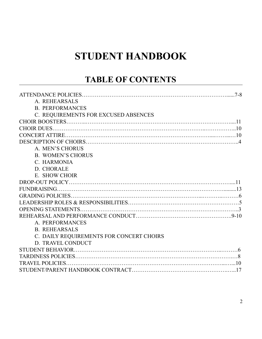## **STUDENT HANDBOOK**

### **TABLE OF CONTENTS**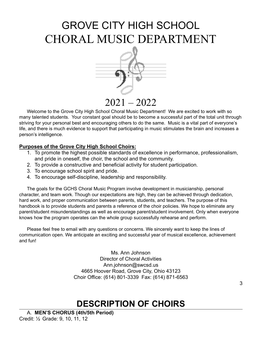# GROVE CITY HIGH SCHOOL CHORAL MUSIC DEPARTMENT



2021 – 2022

Welcome to the Grove City High School Choral Music Department! We are excited to work with so many talented students. Your constant goal should be to become a successful part of the total unit through striving for your personal best and encouraging others to do the same. Music is a vital part of everyone's life, and there is much evidence to support that participating in music stimulates the brain and increases a person's intelligence.

#### **Purposes of the Grove City High School Choirs:**

- 1. To promote the highest possible standards of excellence in performance, professionalism, and pride in oneself, the choir, the school and the community.
- 2. To provide a constructive and beneficial activity for student participation.
- 3. To encourage school spirit and pride.
- 4. To encourage self-discipline, leadership and responsibility.

The goals for the GCHS Choral Music Program involve development in musicianship, personal character, and team work. Though our expectations are high, they can be achieved through dedication, hard work, and proper communication between parents, students, and teachers. The purpose of this handbook is to provide students and parents a reference of the choir policies. We hope to eliminate any parent/student misunderstandings as well as encourage parent/student involvement. Only when everyone knows how the program operates can the whole group successfully rehearse and perform.

Please feel free to email with any questions or concerns. We sincerely want to keep the lines of communication open. We anticipate an exciting and successful year of musical excellence, achievement and fun!

> Ms. Ann Johnson Director of Choral Activities Ann.johnson[@swcsd.us](mailto:jennifer.wozniak@swcs.us) 4665 Hoover Road, Grove City, Ohio 43123 Choir Office: (614) 801-3339 Fax: (614) 871-6563

### **DESCRIPTION OF CHOIRS**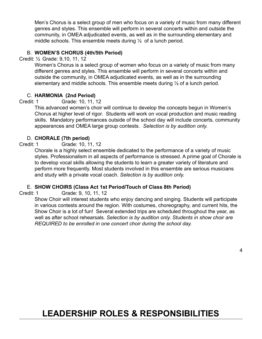Men's Chorus is a select group of men who focus on a variety of music from many different genres and styles. This ensemble will perform in several concerts within and outside the community, in OMEA adjudicated events, as well as in the surrounding elementary and middle schools. This ensemble meets during  $\frac{1}{2}$  of a lunch period.

#### B. **WOMEN'S CHORUS (4th/5th Period)**

Credit: ½ Grade: 9,10, 11, 12

Women's Chorus is a select group of women who focus on a variety of music from many different genres and styles. This ensemble will perform in several concerts within and outside the community, in OMEA adjudicated events, as well as in the surrounding elementary and middle schools. This ensemble meets during ½ of a lunch period.

#### C. **HARMONIA (2nd Period)**

Credit: 1 Grade: 10, 11, 12

This advanced women's choir will continue to develop the concepts begun in Women's Chorus at higher level of rigor. Students will work on vocal production and music reading skills. Mandatory performances outside of the school day will include concerts, community appearances and OMEA large group contests. *Selection is by audition only.*

#### D. **CHORALE (7th period)**

Credit: 1 Grade: 10, 11, 12

Chorale is a highly select ensemble dedicated to the performance of a variety of music styles. Professionalism in all aspects of performance is stressed. A prime goal of Chorale is to develop vocal skills allowing the students to learn a greater variety of literature and perform more frequently. Most students involved in this ensemble are serious musicians and study with a private vocal coach. *Selection is by audition only.*

#### E. **SHOW CHOIRS (Class Act 1st Period/Touch of Class 8th Period)**

Credit: 1 Grade: 9, 10, 11, 12

Show Choir will interest students who enjoy dancing and singing. Students will participate in various contests around the region. With costumes, choreography, and current hits, the Show Choir is a lot of fun! Several extended trips are scheduled throughout the year, as well as after school rehearsals. *Selection is by audition only. Students in show choir are REQUIRED to be enrolled in one concert choir during the school day.*

### **LEADERSHIP ROLES & RESPONSIBILITIES**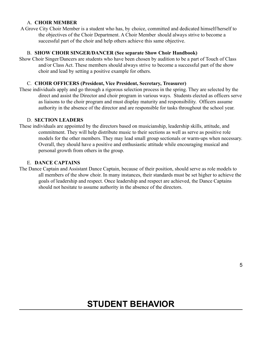#### A. **CHOIR MEMBER**

A Grove City Choir Member is a student who has, by choice, committed and dedicated himself/herself to the objectives of the Choir Department. A Choir Member should always strive to become a successful part of the choir and help others achieve this same objective.

#### B. **SHOW CHOIR SINGER/DANCER (See separate Show Choir Handbook)**

Show Choir Singer/Dancers are students who have been chosen by audition to be a part of Touch of Class and/or Class Act. These members should always strive to become a successful part of the show choir and lead by setting a positive example for others.

#### C. **CHOIR OFFICERS (President, Vice President, Secretary, Treasurer)**

These individuals apply and go through a rigorous selection process in the spring. They are selected by the direct and assist the Director and choir program in various ways. Students elected as officers serve as liaisons to the choir program and must display maturity and responsibility. Officers assume authority in the absence of the director and are responsible for tasks throughout the school year.

#### D. **SECTION LEADERS**

These individuals are appointed by the directors based on musicianship, leadership skills, attitude, and commitment. They will help distribute music to their sections as well as serve as positive role models for the other members. They may lead small group sectionals or warm-ups when necessary. Overall, they should have a positive and enthusiastic attitude while encouraging musical and personal growth from others in the group.

#### E. **DANCE CAPTAINS**

The Dance Captain and Assistant Dance Captain, because of their position, should serve as role models to all members of the show choir. In many instances, their standards must be set higher to achieve the goals of leadership and respect. Once leadership and respect are achieved, the Dance Captains should not hesitate to assume authority in the absence of the directors.

### **STUDENT BEHAVIOR**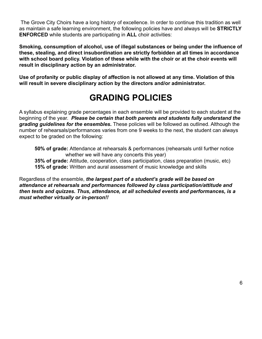The Grove City Choirs have a long history of excellence. In order to continue this tradition as well as maintain a safe learning environment, the following policies have and always will be **STRICTLY ENFORCED** while students are participating in **ALL** choir activities:

**Smoking, consumption of alcohol, use of illegal substances or being under the influence of these, stealing, and direct insubordination are strictly forbidden at all times in accordance with school board policy. Violation of these while with the choir or at the choir events will result in disciplinary action by an administrator.**

**Use of profanity or public display of affection is not allowed at any time. Violation of this will result in severe disciplinary action by the directors and/or administrator.**

### **GRADING POLICIES**

A syllabus explaining grade percentages in each ensemble will be provided to each student at the beginning of the year. *Please be certain that both parents and students fully understand the grading guidelines for the ensembles.* These policies will be followed as outlined. Although the number of rehearsals/performances varies from one 9 weeks to the next, the student can always expect to be graded on the following:

**50% of grade:** Attendance at rehearsals & performances (rehearsals until further notice whether we will have any concerts this year) **35% of grade:** Attitude, cooperation, class participation, class preparation (music, etc) **15% of grade:** Written and aural assessment of music knowledge and skills

Regardless of the ensemble, *the largest part of a student's grade will be based on attendance at rehearsals and performances followed by class participation/attitude and then tests and quizzes. Thus, attendance, at all scheduled events and performances, is a must whether virtually or in-person!!*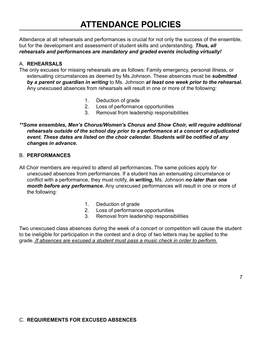### **ATTENDANCE POLICIES**

Attendance at all rehearsals and performances is crucial for not only the success of the ensemble, but for the development and assessment of student skills and understanding. *Thus, all rehearsals and performances are mandatory and graded events including virtually!*

#### A. **REHEARSALS**

The only excuses for missing rehearsals are as follows: Family emergency, personal illness, or extenuating circumstances as deemed by Ms.Johnson. These absences must be *submitted by a parent or guardian in writing* to Ms. Johnson *at least one week prior to the rehearsal.* Any unexcused absences from rehearsals will result in one or more of the following:

- 1. Deduction of grade
- 2. Loss of performance opportunities
- 3. Removal from leadership responsibilities

#### *\*\*Some ensembles, Men's Chorus/Women's Chorus and Show Choir, will require additional rehearsals outside of the school day prior to a performance at a concert or adjudicated event. These dates are listed on the choir calendar. Students will be notified of any changes in advance.*

#### B. **PERFORMANCES**

All Choir members are required to attend all performances. The same policies apply for unexcused absences from performances. If a student has an extenuating circumstance or conflict with a performance, they must notify, *in writing,* Ms. Johnson *no later than one month before any performance.* Any unexcused performances will result in one or more of the following:

- 1. Deduction of grade
- 2. Loss of performance opportunities
- 3. Removal from leadership responsibilities

Two unexcused class absences during the week of a concert or competition will cause the student to be ineligible for participation in the contest and a drop of two letters may be applied to the grade. *If absences are excused a student must pass a music check in order to perform.*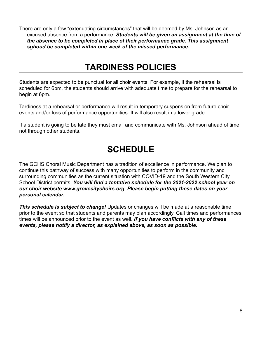There are only a few "extenuating circumstances" that will be deemed by Ms. Johnson as an excused absence from a performance. *Students will be given an assignment at the time of the absence to be completed in place of their performance grade. This assignment sghoud be completed within one week of the missed performance.*

### **TARDINESS POLICIES**

Students are expected to be punctual for all choir events. For example, if the rehearsal is scheduled for 6pm, the students should arrive with adequate time to prepare for the rehearsal to begin at 6pm.

Tardiness at a rehearsal or performance will result in temporary suspension from future choir events and/or loss of performance opportunities. It will also result in a lower grade.

If a student is going to be late they must email and communicate with Ms. Johnson ahead of time not through other students.

### **SCHEDULE**

The GCHS Choral Music Department has a tradition of excellence in performance. We plan to continue this pathway of success with many opportunities to perform in the community and surrounding communities as the current situation with COVID-19 and the South Western City School District permits. *You will find a tentative schedule for the 2021-2022 school year on our choir website www.grovecitychoirs.org. Please begin putting these dates on your personal calendar.*

*This schedule is subject to change!* Updates or changes will be made at a reasonable time prior to the event so that students and parents may plan accordingly. Call times and performances times will be announced prior to the event as well. *If you have conflicts with any of these events, please notify a director, as explained above, as soon as possible.*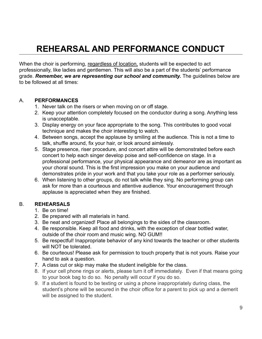## **REHEARSAL AND PERFORMANCE CONDUCT**

When the choir is performing, regardless of location, students will be expected to act professionally, like ladies and gentlemen. This will also be a part of the students' performance grade. *Remember, we are representing our school and community.* The guidelines below are to be followed at all times:

#### A. **PERFORMANCES**

- 1. Never talk on the risers or when moving on or off stage.
- 2. Keep your attention completely focused on the conductor during a song. Anything less is unacceptable.
- 3. Display energy on your face appropriate to the song. This contributes to good vocal technique and makes the choir interesting to watch.
- 4. Between songs, accept the applause by smiling at the audience. This is not a time to talk, shuffle around, fix your hair, or look around aimlessly.
- 5. Stage presence, riser procedure, and concert attire will be demonstrated before each concert to help each singer develop poise and self-confidence on stage. In a professional performance, your physical appearance and demeanor are as important as your choral sound. This is the first impression you make on your audience and demonstrates pride in your work and that you take your role as a performer seriously.
- 6. When listening to other groups, do not talk while they sing. No performing group can ask for more than a courteous and attentive audience. Your encouragement through applause is appreciated when they are finished.

#### B. **REHEARSALS**

- 1. Be on time!
- 2. Be prepared with all materials in hand.
- 3. Be neat and organized! Place all belongings to the sides of the classroom.
- 4. Be responsible. Keep all food and drinks, with the exception of clear bottled water, outside of the choir room and music wing. NO GUM!!
- 5. Be respectful! Inappropriate behavior of any kind towards the teacher or other students will NOT be tolerated.
- 6. Be courteous! Please ask for permission to touch property that is not yours. Raise your hand to ask a question.
- 7. A class cut or skip may make the student ineligible for the class.
- 8. If your cell phone rings or alerts, please turn it off immediately. Even if that means going to your book bag to do so. No penalty will occur if you do so.
- 9. If a student is found to be texting or using a phone inappropriately during class, the student's phone will be secured in the choir office for a parent to pick up and a demerit will be assigned to the student.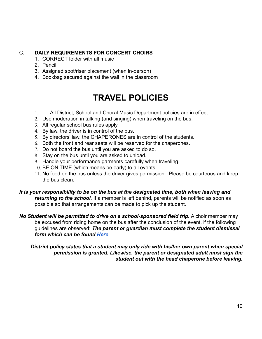#### C. **DAILY REQUIREMENTS FOR CONCERT CHOIRS**

- 1. CORRECT folder with all music
- 2. Pencil
- 3. Assigned spot/riser placement (when in-person)
- 4. Bookbag secured against the wall in the classroom

### **TRAVEL POLICIES**

- 1. All District, School and Choral Music Department policies are in effect.
- 2. Use moderation in talking (and singing) when traveling on the bus.
- 3. All regular school bus rules apply.
- 4. By law, the driver is in control of the bus.
- 5. By directors' law, the CHAPERONES are in control of the students.
- 6. Both the front and rear seats will be reserved for the chaperones.
- 7. Do not board the bus until you are asked to do so.
- 8. Stay on the bus until you are asked to unload.
- 9. Handle your performance garments carefully when traveling.
- 10. BE ON TIME (which means be early) to all events.
- 11. No food on the bus unless the driver gives permission. Please be courteous and keep the bus clean.

*It is your responsibility to be on the bus at the designated time, both when leaving and returning to the school.* If a member is left behind, parents will be notified as soon as possible so that arrangements can be made to pick up the student.

*No Student will be permitted to drive on a school-sponsored field trip.* A choir member may be excused from riding home on the bus after the conclusion of the event, if the following guidelines are observed: *The parent or guardian must complete the student dismissal form which can be found [Here](https://www.grovecitychoirs.org/student-dismissal)*

*District policy states that a student may only ride with his/her own parent when special permission is granted. Likewise, the parent or designated adult must sign the student out with the head chaperone before leaving.*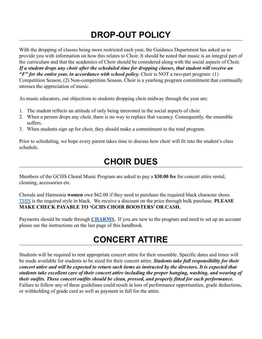### **DROP-OUT POLICY**

With the dropping of classes being more restricted each year, the Guidance Department has asked us to provide you with information on how this relates to Choir. It should be noted that music is an integral part of the curriculum and that the academics of Choir should be considered along with the social aspects of Choir. *If a student drops any choir after the scheduled time for dropping classes, that student will receive an "F" for the entire year, in accordance with school policy.* Choir is NOT a two-part program: (1) Competition Season, (2) Non-competition Season. Choir is a yearlong program commitment that continually stresses the appreciation of music.

As music educators, our objections to students dropping choir midway through the year are:

- 1. The student reflects an attitude of only being interested in the social aspects of choir.
- 2. When a person drops any choir, there is no way to replace that vacancy. Consequently, the ensemble suffers.
- 3. When students sign up for choir, they should make a commitment to the total program.

Prior to scheduling, we hope every parent takes time to discuss how choir will fit into the student's class schedule.

### **CHOIR DUES**

Members of the GCHS Choral Music Program are asked to pay a **\$30.00 fee** for concert attire rental, cleaning, accessories etc.

Chorale and Harmonia **women** owe \$62.00 if they need to purchase the required black character shoes. [THIS](https://www.capezio.com/jr-footlight-character-shoe) is the required style in black. We receive a discount on the price through bulk purchase. **PLEASE MAKE CHECK PAYABLE TO 'GCHS CHOIR BOOSTERS' OR CASH.**

Payments should be made through **[CHARMS.](https://www.charmsoffice.com/#)** If you are new to the program and need to set up an account please see the instructions on the last page of this handbook.

### **CONCERT ATTIRE**

Students will be required to rent appropriate concert attire for their ensemble. Specific dates and times will be made available for students to be sized for their concert attire. *Students take full responsibility for their concert attire and will be expected to return such items as instructed by the directors. It is expected that students take excellent care of their concert attire including the proper hanging, washing, and wearing of their outfits. These concert outfits should be clean, pressed, and properly fitted for each performance.* Failure to follow any of these guidelines could result in loss of performance opportunities, grade deductions, or withholding of grade card as well as payment in full for the attire.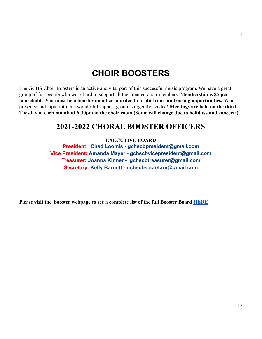### **CHOIR BOOSTERS**

The GCHS Choir Boosters is an active and vital part of this successful music program. We have a great group of fun people who work hard to support all the talented choir members. **Membership is \$5 per household. You must be a booster member in order to profit from fundraising opportunities.** Your presence and input into this wonderful support group is urgently needed! **Meetings are held on the third Tuesday of each month at 6:30pm in the choir room (Some will change due to holidays and concerts).**

### **2021-2022 CHORAL BOOSTER OFFICERS**

**EXECUTIVE BOARD**

**President: Chad Loomis - gchscbpresident@gmail.com Vice President: Amanda Mayer - gchscbvicepresident@gmail.com Treasurer: Joanna Kinner - gchscbtreasurer@gmail.com Secretary: Kelly Barnett - gchscbsecretary@gmail.com**

**Please visit the booster webpage to see a complete list of the full Booster Board [HERE](https://www.grovecitychoirs.org/boosters-board-committees)**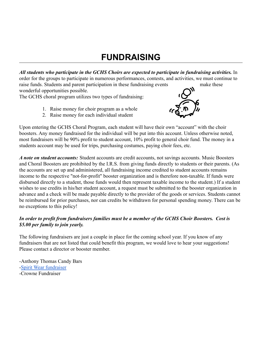### **FUNDRAISING**

*All students who participate in the GCHS Choirs are expected to participate in fundraising activities.* In order for the groups to participate in numerous performances, contests, and activities, we must continue to raise funds. Students and parent participation in these fundraising events make these

wonderful opportunities possible.

The GCHS choral program utilizes two types of fundraising:

- 1. Raise money for choir program as a whole
- 2. Raise money for each individual student



Upon entering the GCHS Choral Program, each student will have their own "account" with the choir boosters. Any money fundraised for the individual will be put into this account. Unless otherwise noted, most fundraisers will be 90% profit to student account, 10% profit to general choir fund. The money in a students account may be used for trips, purchasing costumes, paying choir fees, etc.

*A note on student accounts:* Student accounts are credit accounts, not savings accounts. Music Boosters and Choral Boosters are prohibited by the I.R.S. from giving funds directly to students or their parents. (As the accounts are set up and administered, all fundraising income credited to student accounts remains income to the respective "not-for-profit" booster organization and is therefore non-taxable. If funds were disbursed directly to a student, those funds would then represent taxable income to the student.) If a student wishes to use credits in his/her student account, a request must be submitted to the booster organization in advance and a check will be made payable directly to the provider of the goods or services. Students cannot be reimbursed for prior purchases, nor can credits be withdrawn for personal spending money. There can be no exceptions to this policy!

#### *In order to profit from fundraisers families must be a member of the GCHS Choir Boosters. Cost is \$5.00 per family to join yearly.*

The following fundraisers are just a couple in place for the coming school year. If you know of any fundraisers that are not listed that could benefit this program, we would love to hear your suggestions! Please contact a director or booster member.

-Anthony Thomas Candy Bars -[Spirit Wear fundraiser](https://logoimages.us/gchschoirs/?fbclid=IwAR0154YMAOUUIKQRKW3ThBRrbLv3oHDe2j3t86vVvWL99CHGu9Brca_5cSE) -Crowne Fundraiser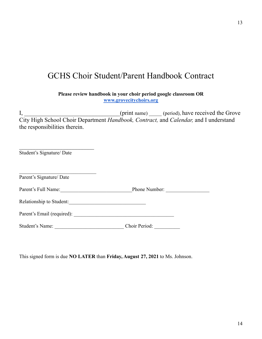### GCHS Choir Student/Parent Handbook Contract

**Please review handbook in your choir period google classroom OR [www.grovecitychoirs.org](http://www.grovecitychoirs.org)**

I, \_\_\_\_\_\_\_\_\_\_\_\_\_\_\_\_\_\_\_\_\_\_\_\_\_(print name) \_\_\_\_\_(period), have received the Grove City High School Choir Department *Handbook, Contract,* and *Calendar,* and I understand the responsibilities therein.

| Student's Signature/Date |               |  |
|--------------------------|---------------|--|
| Parent's Signature/ Date |               |  |
| Parent's Full Name:      | Phone Number: |  |
| Relationship to Student: |               |  |
|                          |               |  |
| Student's Name:          | Choir Period: |  |

This signed form is due **NO LATER** than **Friday, August 27, 2021** to Ms. Johnson.